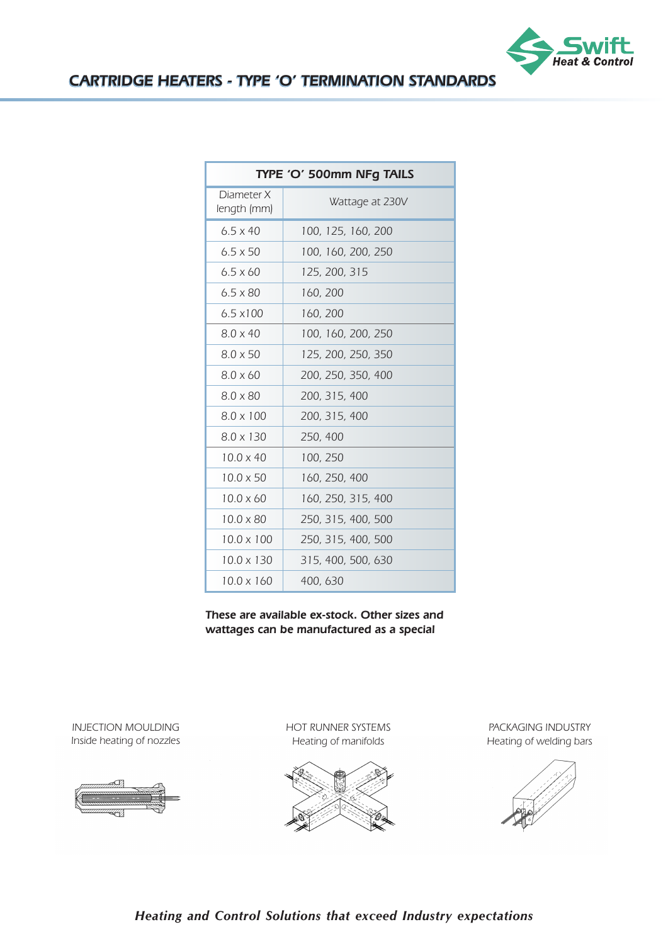

## **CARTRIDGE HEATERS - TYPE 'O' TERMINATION STANDARDS**

| TYPE 'O' 500mm NFg TAILS  |                    |  |  |  |
|---------------------------|--------------------|--|--|--|
| Diameter X<br>length (mm) | Wattage at 230V    |  |  |  |
| $6.5 \times 40$           | 100, 125, 160, 200 |  |  |  |
| $6.5 \times 50$           | 100, 160, 200, 250 |  |  |  |
| $6.5 \times 60$           | 125, 200, 315      |  |  |  |
| $6.5 \times 80$           | 160, 200           |  |  |  |
| $6.5 \times 100$          | 160, 200           |  |  |  |
| $8.0 \times 40$           | 100, 160, 200, 250 |  |  |  |
| $8.0 \times 50$           | 125, 200, 250, 350 |  |  |  |
| $8.0 \times 60$           | 200, 250, 350, 400 |  |  |  |
| $8.0 \times 80$           | 200, 315, 400      |  |  |  |
| $8.0 \times 100$          | 200, 315, 400      |  |  |  |
| $8.0 \times 130$          | 250, 400           |  |  |  |
| $10.0 \times 40$          | 100, 250           |  |  |  |
| $10.0 \times 50$          | 160, 250, 400      |  |  |  |
| $10.0 \times 60$          | 160, 250, 315, 400 |  |  |  |
| $10.0 \times 80$          | 250, 315, 400, 500 |  |  |  |
| $10.0 \times 100$         | 250, 315, 400, 500 |  |  |  |
| $10.0 \times 130$         | 315, 400, 500, 630 |  |  |  |
| $10.0 \times 160$         | 400, 630           |  |  |  |

**These are available ex-stock. Other sizes and wattages can be manufactured as a special**

INJECTION MOULDING Inside heating of nozzles



HOT RUNNER SYSTEMS Heating of manifolds



PACKAGING INDUSTRY Heating of welding bars

# *Heating and Control Solutions that exceed Industry expectations*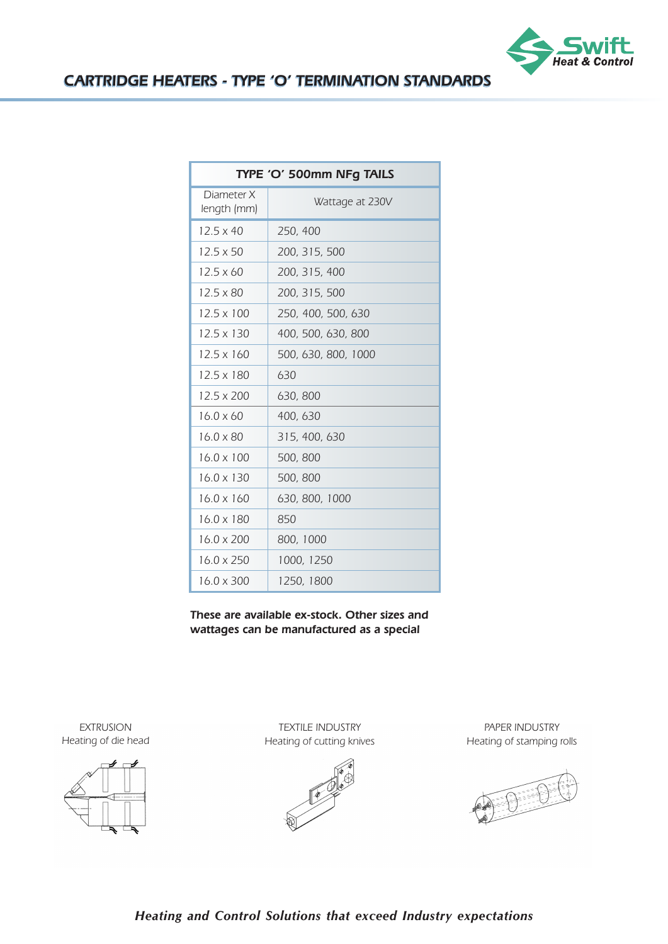

## **CARTRIDGE HEATERS - TYPE 'O' TERMINATION STANDARDS**

| TYPE 'O' 500mm NFg TAILS  |                     |  |  |  |
|---------------------------|---------------------|--|--|--|
| Diameter X<br>length (mm) | Wattage at 230V     |  |  |  |
| $12.5 \times 40$          | 250, 400            |  |  |  |
| $12.5 \times 50$          | 200, 315, 500       |  |  |  |
| 12.5 x 60                 | 200, 315, 400       |  |  |  |
| 12.5 x 80                 | 200, 315, 500       |  |  |  |
| $12.5 \times 100$         | 250, 400, 500, 630  |  |  |  |
| $12.5 \times 130$         | 400, 500, 630, 800  |  |  |  |
| 12.5 x 160                | 500, 630, 800, 1000 |  |  |  |
| 12.5 x 180                | 630                 |  |  |  |
| 12.5 x 200                | 630, 800            |  |  |  |
| $16.0 \times 60$          | 400, 630            |  |  |  |
| $16.0 \times 80$          | 315, 400, 630       |  |  |  |
| $16.0 \times 100$         | 500, 800            |  |  |  |
| $16.0 \times 130$         | 500, 800            |  |  |  |
| $16.0 \times 160$         | 630, 800, 1000      |  |  |  |
| $16.0 \times 180$         | 850                 |  |  |  |
| $16.0 \times 200$         | 800, 1000           |  |  |  |
| $16.0 \times 250$         | 1000, 1250          |  |  |  |
| $16.0 \times 300$         | 1250, 1800          |  |  |  |

**These are available ex-stock. Other sizes and wattages can be manufactured as a special**

EXTRUSION Heating of die head



TEXTILE INDUSTRY Heating of cutting knives



PAPER INDUSTRY Heating of stamping rolls



*Heating and Control Solutions that exceed Industry expectations*